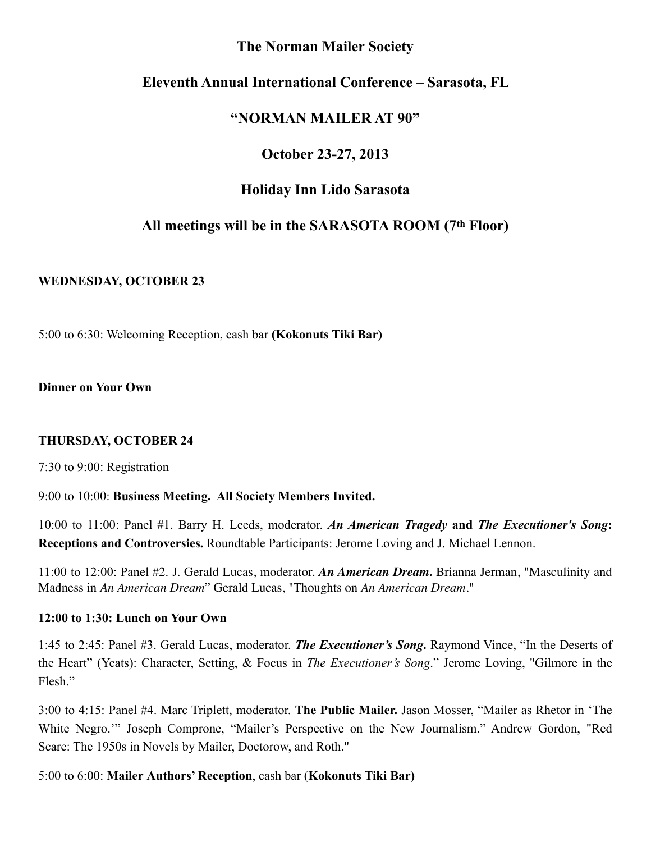### **The Norman Mailer Society**

## **Eleventh Annual International Conference – Sarasota, FL**

## **"NORMAN MAILER AT 90"**

# **October 23-27, 2013**

## **Holiday Inn Lido Sarasota**

# **All meetings will be in the SARASOTA ROOM (7th Floor)**

#### **WEDNESDAY, OCTOBER 23**

5:00 to 6:30: Welcoming Reception, cash bar **(Kokonuts Tiki Bar)**

**Dinner on Your Own**

#### **THURSDAY, OCTOBER 24**

7:30 to 9:00: Registration

#### 9:00 to 10:00: **Business Meeting. All Society Members Invited.**

10:00 to 11:00: Panel #1. Barry H. Leeds, moderator. *An American Tragedy* **and** *The Executioner's Song***: Receptions and Controversies.** Roundtable Participants: Jerome Loving and J. Michael Lennon.

11:00 to 12:00: Panel #2. J. Gerald Lucas, moderator. *An American Dream.* Brianna Jerman, "Masculinity and Madness in *An American Dream*" Gerald Lucas, "Thoughts on *An American Dream.*"

#### **12:00 to 1:30: Lunch on Your Own**

1:45 to 2:45: Panel #3. Gerald Lucas, moderator. *The Executioner's Song***.** Raymond Vince, "In the Deserts of the Heart" (Yeats): Character, Setting, & Focus in *The Executioner's Song*." Jerome Loving, "Gilmore in the Flesh"

3:00 to 4:15: Panel #4. Marc Triplett, moderator. **The Public Mailer.** Jason Mosser, "Mailer as Rhetor in 'The White Negro.'" Joseph Comprone, "Mailer's Perspective on the New Journalism." Andrew Gordon, "Red Scare: The 1950s in Novels by Mailer, Doctorow, and Roth."

#### 5:00 to 6:00: **Mailer Authors' Reception**, cash bar (**Kokonuts Tiki Bar)**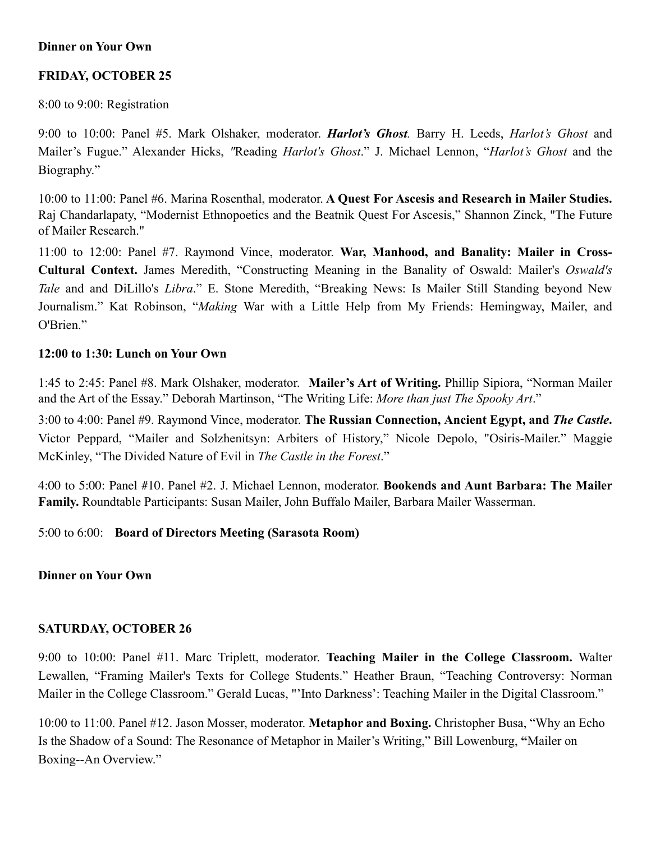#### **Dinner on Your Own**

## **FRIDAY, OCTOBER 25**

8:00 to 9:00: Registration

9:00 to 10:00: Panel #5. Mark Olshaker, moderator. *Harlot's Ghost.* Barry H. Leeds, *Harlot's Ghost* and Mailer's Fugue." Alexander Hicks, *"*Reading *Harlot's Ghost*." J. Michael Lennon, "*Harlot's Ghost* and the Biography."

10:00 to 11:00: Panel #6. Marina Rosenthal, moderator. **A Quest For Ascesis and Research in Mailer Studies.** Raj Chandarlapaty, "Modernist Ethnopoetics and the Beatnik Quest For Ascesis," Shannon Zinck, "The Future of Mailer Research."

11:00 to 12:00: Panel #7. Raymond Vince, moderator. **War, Manhood, and Banality: Mailer in Cross-Cultural Context.** James Meredith, "Constructing Meaning in the Banality of Oswald: Mailer's *Oswald's Tale* and and DiLillo's *Libra*." E. Stone Meredith, "Breaking News: Is Mailer Still Standing beyond New Journalism." Kat Robinson, "*Making* War with a Little Help from My Friends: Hemingway, Mailer, and O'Brien<sup>"</sup>

#### **12:00 to 1:30: Lunch on Your Own**

1:45 to 2:45: Panel #8. Mark Olshaker, moderator. **Mailer's Art of Writing.** Phillip Sipiora, "Norman Mailer and the Art of the Essay." Deborah Martinson, "The Writing Life: *More than just The Spooky Art*."

3:00 to 4:00: Panel #9. Raymond Vince, moderator. **The Russian Connection, Ancient Egypt, and** *The Castle***.** Victor Peppard, "Mailer and Solzhenitsyn: Arbiters of History," Nicole Depolo, "Osiris-Mailer." Maggie McKinley, "The Divided Nature of Evil in *The Castle in the Forest*."

4:00 to 5:00: Panel #10. Panel #2. J. Michael Lennon, moderator. **Bookends and Aunt Barbara: The Mailer Family.** Roundtable Participants: Susan Mailer, John Buffalo Mailer, Barbara Mailer Wasserman.

#### 5:00 to 6:00: **Board of Directors Meeting (Sarasota Room)**

#### **Dinner on Your Own**

#### **SATURDAY, OCTOBER 26**

9:00 to 10:00: Panel #11. Marc Triplett, moderator. **Teaching Mailer in the College Classroom.** Walter Lewallen, "Framing Mailer's Texts for College Students." Heather Braun, "Teaching Controversy: Norman Mailer in the College Classroom." Gerald Lucas, "'Into Darkness': Teaching Mailer in the Digital Classroom."

10:00 to 11:00. Panel #12. Jason Mosser, moderator. **Metaphor and Boxing.** Christopher Busa, "Why an Echo Is the Shadow of a Sound: The Resonance of Metaphor in Mailer's Writing," Bill Lowenburg, **"**Mailer on Boxing--An Overview."